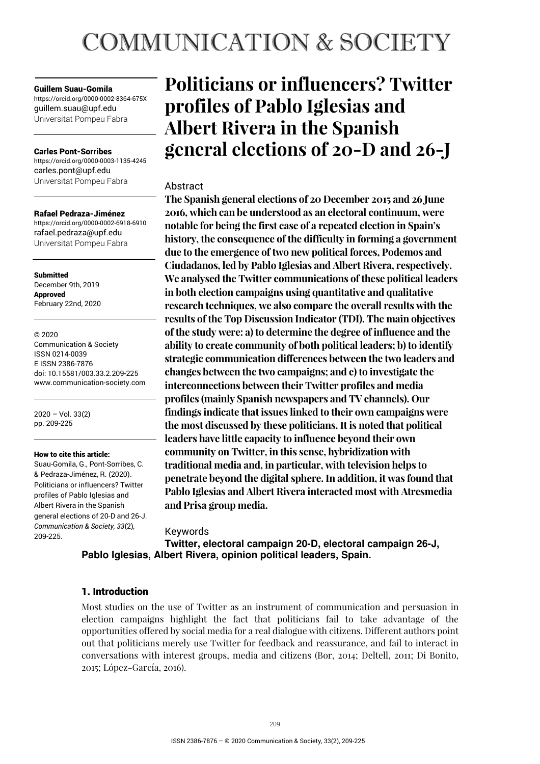# **COMMUNICATION & SOCIETY**

#### Guillem Suau-Gomila

https://orcid.org/0000-0002-8364-675X guillem.suau@upf.edu Universitat Pompeu Fabra

#### Carles Pont-Sorribes

https://orcid.org/0000-0003-1135-4245 carles.pont@upf.edu Universitat Pompeu Fabra

#### Rafael Pedraza-Jiménez

https://orcid.org/0000-0002-6918-6910 rafael.pedraza@upf.edu Universitat Pompeu Fabra

**Submitted** December 9th, 2019 Approved February 22nd, 2020

#### © 2020

Communication & Society ISSN 0214-0039 E ISSN 2386-7876 doi: 10.15581/003.33.2.209-225 www.communication-society.com

2020 – Vol. 33(2) pp. 209-225

#### How to cite this article:

Suau-Gomila, G., Pont-Sorribes, C. & Pedraza-Jiménez, R. (2020). Politicians or influencers? Twitter profiles of Pablo Iglesias and Albert Rivera in the Spanish general elections of 20-D and 26-J. *Communication & Society, 33*(2)*,* 209-225.

# **Politicians or influencers? Twitter profiles of Pablo Iglesias and Albert Rivera in the Spanish general elections of 20-D and 26-J**

# **Abstract**

**The Spanish general elections of 20 December 2015 and 26 June 2016, which can be understood as an electoral continuum, were notable for being the first case of a repeated election in Spain's history, the consequence of the difficulty in forming a government due to the emergence of two new political forces, Podemos and Ciudadanos, led by Pablo Iglesias and Albert Rivera, respectively. We analysed the Twitter communications of these political leaders in both election campaigns using quantitative and qualitative research techniques, we also compare the overall results with the results of the Top Discussion Indicator (TDI). The main objectives of the study were: a) to determine the degree of influence and the ability to create community of both political leaders; b) to identify strategic communication differences between the two leaders and changes between the two campaigns; and c) to investigate the interconnections between their Twitter profiles and media profiles (mainly Spanish newspapers and TV channels). Our findings indicate that issues linked to their own campaigns were the most discussed by these politicians. It is noted that political leaders have little capacity to influence beyond their own community on Twitter, in this sense, hybridization with traditional media and, in particular, with television helps to penetrate beyond the digital sphere. In addition, it was found that Pablo Iglesias and Albert Rivera interacted most with Atresmedia and Prisa group media.** 

#### Keywords

**Twitter, electoral campaign 20-D, electoral campaign 26-J, Pablo Iglesias, Albert Rivera, opinion political leaders, Spain.** 

# 1. Introduction

Most studies on the use of Twitter as an instrument of communication and persuasion in election campaigns highlight the fact that politicians fail to take advantage of the opportunities offered by social media for a real dialogue with citizens. Different authors point out that politicians merely use Twitter for feedback and reassurance, and fail to interact in conversations with interest groups, media and citizens (Bor, 2014; Deltell, 2011; Di Bonito, 2015; López-García, 2016).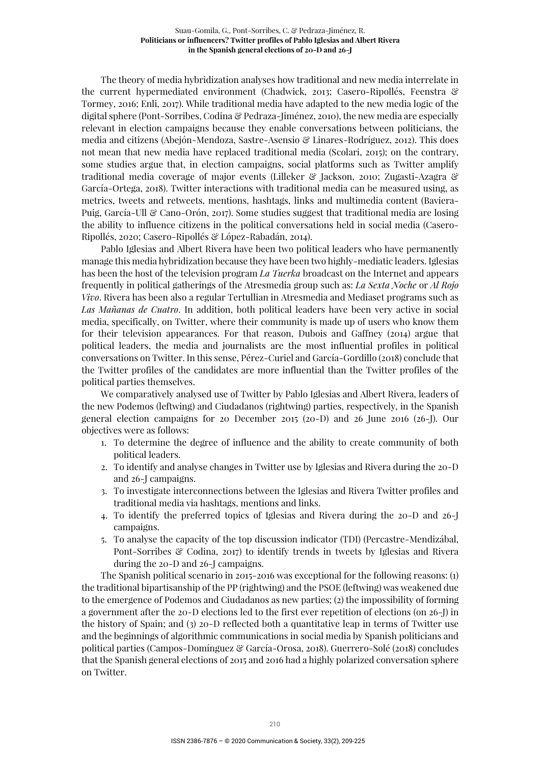The theory of media hybridization analyses how traditional and new media interrelate in the current hypermediated environment (Chadwick, 2013; Casero-Ripollés, Feenstra & Tormey, 2016; Enli, 2017). While traditional media have adapted to the new media logic of the digital sphere (Pont-Sorribes, Codina & Pedraza-Jiménez, 2010), the new media are especially relevant in election campaigns because they enable conversations between politicians, the media and citizens (Abejón-Mendoza, Sastre-Asensio & Linares-Rodríguez, 2012). This does not mean that new media have replaced traditional media (Scolari, 2015); on the contrary, some studies argue that, in election campaigns, social platforms such as Twitter amplify traditional media coverage of major events (Lilleker & Jackson, 2010; Zugasti-Azagra & García-Ortega, 2018). Twitter interactions with traditional media can be measured using, as metrics, tweets and retweets, mentions, hashtags, links and multimedia content (Baviera-Puig, García-Ull & Cano-Orón, 2017). Some studies suggest that traditional media are losing the ability to influence citizens in the political conversations held in social media (Casero-Ripollés, 2020; Casero-Ripollés & López-Rabadán, 2014).

Pablo Iglesias and Albert Rivera have been two political leaders who have permanently manage this media hybridization because they have been two highly-mediatic leaders. Iglesias has been the host of the television program *La Tuerka* broadcast on the Internet and appears frequently in political gatherings of the Atresmedia group such as: *La Sexta Noche* or *Al Rojo Vivo*. Rivera has been also a regular Tertullian in Atresmedia and Mediaset programs such as *Las Mañanas de Cuatro*. In addition, both political leaders have been very active in social media, specifically, on Twitter, where their community is made up of users who know them for their television appearances. For that reason, Dubois and Gaffney (2014) argue that political leaders, the media and journalists are the most influential profiles in political conversations on Twitter. In this sense, Pérez-Curiel and García-Gordillo (2018) conclude that the Twitter profiles of the candidates are more influential than the Twitter profiles of the political parties themselves.

We comparatively analysed use of Twitter by Pablo Iglesias and Albert Rivera, leaders of the new Podemos (leftwing) and Ciudadanos (rightwing) parties, respectively, in the Spanish general election campaigns for 20 December 2015 (20-D) and 26 June 2016 (26-J). Our objectives were as follows:

- 1. To determine the degree of influence and the ability to create community of both political leaders.
- 2. To identify and analyse changes in Twitter use by Iglesias and Rivera during the 20-D and 26-J campaigns.
- 3. To investigate interconnections between the Iglesias and Rivera Twitter profiles and traditional media via hashtags, mentions and links.
- 4. To identify the preferred topics of Iglesias and Rivera during the 20-D and 26-J campaigns.
- 5. To analyse the capacity of the top discussion indicator (TDI) (Percastre-Mendizábal, Pont-Sorribes & Codina, 2017) to identify trends in tweets by Iglesias and Rivera during the 20-D and 26-J campaigns.

The Spanish political scenario in 2015-2016 was exceptional for the following reasons: (1) the traditional bipartisanship of the PP (rightwing) and the PSOE (leftwing) was weakened due to the emergence of Podemos and Ciudadanos as new parties; (2) the impossibility of forming a government after the 20-D elections led to the first ever repetition of elections (on 26-J) in the history of Spain; and (3) 20-D reflected both a quantitative leap in terms of Twitter use and the beginnings of algorithmic communications in social media by Spanish politicians and political parties (Campos-Domínguez & García-Orosa, 2018). Guerrero-Solé (2018) concludes that the Spanish general elections of 2015 and 2016 had a highly polarized conversation sphere on Twitter.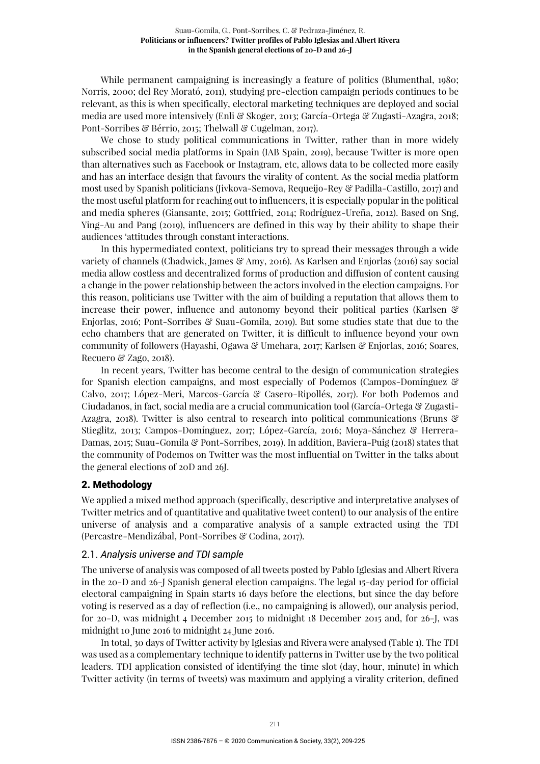While permanent campaigning is increasingly a feature of politics (Blumenthal, 1980; Norris, 2000; del Rey Morató, 2011), studying pre-election campaign periods continues to be relevant, as this is when specifically, electoral marketing techniques are deployed and social media are used more intensively (Enli & Skoger, 2013; García-Ortega & Zugasti-Azagra, 2018; Pont-Sorribes & Bérrio, 2015; Thelwall & Cugelman, 2017).

We chose to study political communications in Twitter, rather than in more widely subscribed social media platforms in Spain (IAB Spain, 2019), because Twitter is more open than alternatives such as Facebook or Instagram, etc, allows data to be collected more easily and has an interface design that favours the virality of content. As the social media platform most used by Spanish politicians (Jivkova-Semova, Requeijo-Rey & Padilla-Castillo, 2017) and the most useful platform for reaching out to influencers, it is especially popular in the political and media spheres (Giansante, 2015; Gottfried, 2014; Rodríguez-Ureña, 2012). Based on Sng, Ying-Au and Pang (2019), influencers are defined in this way by their ability to shape their audiences 'attitudes through constant interactions.

In this hypermediated context, politicians try to spread their messages through a wide variety of channels (Chadwick, James & Amy, 2016). As Karlsen and Enjorlas (2016) say social media allow costless and decentralized forms of production and diffusion of content causing a change in the power relationship between the actors involved in the election campaigns. For this reason, politicians use Twitter with the aim of building a reputation that allows them to increase their power, influence and autonomy beyond their political parties (Karlsen & Enjorlas, 2016; Pont-Sorribes & Suau-Gomila, 2019). But some studies state that due to the echo chambers that are generated on Twitter, it is difficult to influence beyond your own community of followers (Hayashi, Ogawa & Umehara, 2017; Karlsen & Enjorlas, 2016; Soares, Recuero & Zago, 2018).

In recent years, Twitter has become central to the design of communication strategies for Spanish election campaigns, and most especially of Podemos (Campos-Domínguez & Calvo, 2017; López-Meri, Marcos-García & Casero-Ripollés, 2017). For both Podemos and Ciudadanos, in fact, social media are a crucial communication tool (García-Ortega & Zugasti-Azagra, 2018). Twitter is also central to research into political communications (Bruns & Stieglitz, 2013; Campos-Domínguez, 2017; López-García, 2016; Moya-Sánchez & Herrera-Damas, 2015; Suau-Gomila & Pont-Sorribes, 2019). In addition, Baviera-Puig (2018) states that the community of Podemos on Twitter was the most influential on Twitter in the talks about the general elections of 20D and 26J.

# 2. Methodology

We applied a mixed method approach (specifically, descriptive and interpretative analyses of Twitter metrics and of quantitative and qualitative tweet content) to our analysis of the entire universe of analysis and a comparative analysis of a sample extracted using the TDI (Percastre-Mendizábal, Pont-Sorribes & Codina, 2017).

#### 2.1. *Analysis universe and TDI sample*

The universe of analysis was composed of all tweets posted by Pablo Iglesias and Albert Rivera in the 20-D and 26-J Spanish general election campaigns. The legal 15-day period for official electoral campaigning in Spain starts 16 days before the elections, but since the day before voting is reserved as a day of reflection (i.e., no campaigning is allowed), our analysis period, for 20-D, was midnight 4 December 2015 to midnight 18 December 2015 and, for 26-J, was midnight 10 June 2016 to midnight 24 June 2016.

In total, 30 days of Twitter activity by Iglesias and Rivera were analysed (Table 1). The TDI was used as a complementary technique to identify patterns in Twitter use by the two political leaders. TDI application consisted of identifying the time slot (day, hour, minute) in which Twitter activity (in terms of tweets) was maximum and applying a virality criterion, defined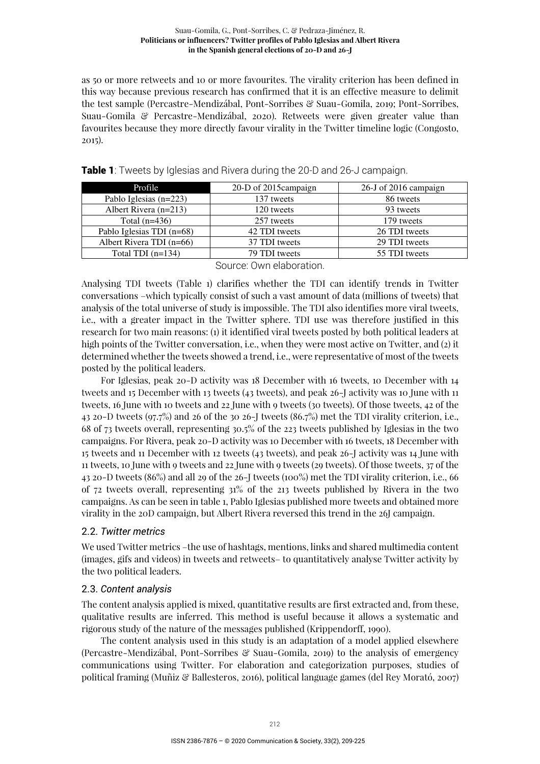as 50 or more retweets and 10 or more favourites. The virality criterion has been defined in this way because previous research has confirmed that it is an effective measure to delimit the test sample (Percastre-Mendizábal, Pont-Sorribes & Suau-Gomila, 2019; Pont-Sorribes, Suau-Gomila & Percastre-Mendizábal, 2020). Retweets were given greater value than favourites because they more directly favour virality in the Twitter timeline logic (Congosto, 2015).

| Profile                   | 20-D of 2015 campaign | 26-J of 2016 campaign |
|---------------------------|-----------------------|-----------------------|
| Pablo Iglesias (n=223)    | 137 tweets            | 86 tweets             |
| Albert Rivera $(n=213)$   | 120 tweets            | 93 tweets             |
| Total $(n=436)$           | 257 tweets            | 179 tweets            |
| Pablo Iglesias TDI (n=68) | 42 TDI tweets         | 26 TDI tweets         |
| Albert Rivera TDI (n=66)  | 37 TDI tweets         | 29 TDI tweets         |
| Total TDI $(n=134)$       | 79 TDI tweets         | 55 TDI tweets         |

| Table 1: Tweets by Iglesias and Rivera during the 20-D and 26-J campaign. |  |
|---------------------------------------------------------------------------|--|
|---------------------------------------------------------------------------|--|

Source: Own elaboration.

Analysing TDI tweets (Table 1) clarifies whether the TDI can identify trends in Twitter conversations –which typically consist of such a vast amount of data (millions of tweets) that analysis of the total universe of study is impossible. The TDI also identifies more viral tweets, i.e., with a greater impact in the Twitter sphere. TDI use was therefore justified in this research for two main reasons: (1) it identified viral tweets posted by both political leaders at high points of the Twitter conversation, i.e., when they were most active on Twitter, and (2) it determined whether the tweets showed a trend, i.e., were representative of most of the tweets posted by the political leaders.

For Iglesias, peak 20-D activity was 18 December with 16 tweets, 10 December with 14 tweets and 15 December with 13 tweets (43 tweets), and peak 26-J activity was 10 June with 11 tweets, 16 June with 10 tweets and 22 June with 9 tweets (30 tweets). Of those tweets, 42 of the 43 20-D tweets (97.7%) and 26 of the 30 26-J tweets (86.7%) met the TDI virality criterion, i.e., 68 of 73 tweets overall, representing 30.5% of the 223 tweets published by Iglesias in the two campaigns. For Rivera, peak 20-D activity was 10 December with 16 tweets, 18 December with 15 tweets and 11 December with 12 tweets (43 tweets), and peak 26-J activity was 14 June with 11 tweets, 10 June with 9 tweets and 22 June with 9 tweets (29 tweets). Of those tweets, 37 of the 43 20-D tweets (86%) and all 29 of the 26-J tweets (100%) met the TDI virality criterion, i.e., 66 of 72 tweets overall, representing 31% of the 213 tweets published by Rivera in the two campaigns. As can be seen in table 1, Pablo Iglesias published more tweets and obtained more virality in the 20D campaign, but Albert Rivera reversed this trend in the 26J campaign.

# 2.2. *Twitter metrics*

We used Twitter metrics –the use of hashtags, mentions, links and shared multimedia content (images, gifs and videos) in tweets and retweets– to quantitatively analyse Twitter activity by the two political leaders.

# 2.3. *Content analysis*

The content analysis applied is mixed, quantitative results are first extracted and, from these, qualitative results are inferred. This method is useful because it allows a systematic and rigorous study of the nature of the messages published (Krippendorff, 1990).

The content analysis used in this study is an adaptation of a model applied elsewhere (Percastre-Mendizábal, Pont-Sorribes & Suau-Gomila, 2019) to the analysis of emergency communications using Twitter. For elaboration and categorization purposes, studies of political framing (Muñiz & Ballesteros, 2016), political language games (del Rey Morató, 2007)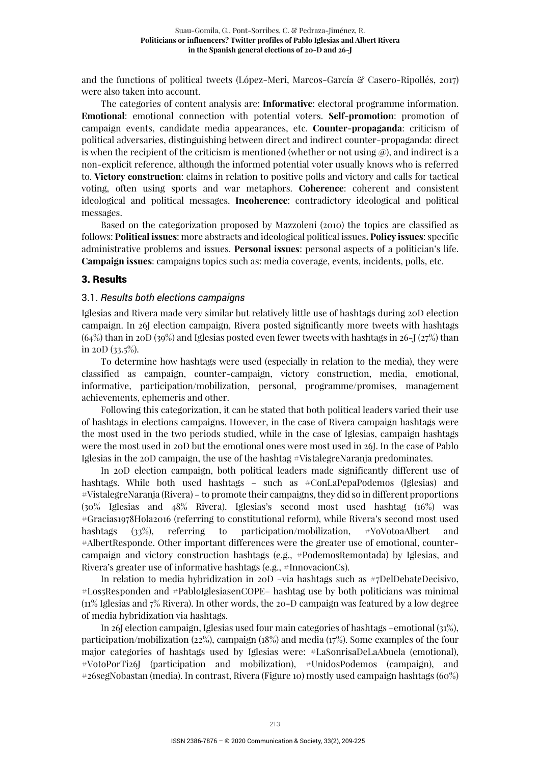and the functions of political tweets (López-Meri, Marcos-García & Casero-Ripollés, 2017) were also taken into account.

The categories of content analysis are: **Informative**: electoral programme information. **Emotional**: emotional connection with potential voters. **Self-promotion**: promotion of campaign events, candidate media appearances, etc. **Counter-propaganda**: criticism of political adversaries, distinguishing between direct and indirect counter-propaganda: direct is when the recipient of the criticism is mentioned (whether or not using  $\omega$ ), and indirect is a non-explicit reference, although the informed potential voter usually knows who is referred to. **Victory construction**: claims in relation to positive polls and victory and calls for tactical voting, often using sports and war metaphors. **Coherence**: coherent and consistent ideological and political messages. **Incoherence**: contradictory ideological and political messages.

Based on the categorization proposed by Mazzoleni (2010) the topics are classified as follows: **Political issues**: more abstracts and ideological political issues**. Policy issues**: specific administrative problems and issues. **Personal issues**: personal aspects of a politician's life. **Campaign issues**: campaigns topics such as: media coverage, events, incidents, polls, etc.

#### 3. Results

#### 3.1. *Results both elections campaigns*

Iglesias and Rivera made very similar but relatively little use of hashtags during 20D election campaign. In 26J election campaign, Rivera posted significantly more tweets with hashtags  $(64%)$  than in 20D (39%) and Iglesias posted even fewer tweets with hashtags in 26-J (27%) than in 20D  $(33.5\%)$ .

To determine how hashtags were used (especially in relation to the media), they were classified as campaign, counter-campaign, victory construction, media, emotional, informative, participation/mobilization, personal, programme/promises, management achievements, ephemeris and other.

Following this categorization, it can be stated that both political leaders varied their use of hashtags in elections campaigns. However, in the case of Rivera campaign hashtags were the most used in the two periods studied, while in the case of Iglesias, campaign hashtags were the most used in 20D but the emotional ones were most used in 26J. In the case of Pablo Iglesias in the 20D campaign, the use of the hashtag #VistalegreNaranja predominates.

In 20D election campaign, both political leaders made significantly different use of hashtags. While both used hashtags – such as #ConLaPepaPodemos (Iglesias) and #VistalegreNaranja (Rivera) – to promote their campaigns, they did so in different proportions (30% Iglesias and 48% Rivera). Iglesias's second most used hashtag (16%) was #Gracias1978Hola2016 (referring to constitutional reform), while Rivera's second most used hashtags (33%), referring to participation/mobilization, #YoVotoaAlbert and #AlbertResponde. Other important differences were the greater use of emotional, countercampaign and victory construction hashtags (e.g., #PodemosRemontada) by Iglesias, and Rivera's greater use of informative hashtags (e.g., #InnovacionCs).

In relation to media hybridization in 20D –via hashtags such as #7DelDebateDecisivo, #Los5Responden and #PabloIglesiasenCOPE– hashtag use by both politicians was minimal (11% Iglesias and 7% Rivera). In other words, the 20-D campaign was featured by a low degree of media hybridization via hashtags.

In 26J election campaign, Iglesias used four main categories of hashtags –emotional (31%), participation/mobilization (22%), campaign (18%) and media (17%). Some examples of the four major categories of hashtags used by Iglesias were: #LaSonrisaDeLaAbuela (emotional), #VotoPorTi26J (participation and mobilization), #UnidosPodemos (campaign), and #26segNobastan (media). In contrast, Rivera (Figure 10) mostly used campaign hashtags (60%)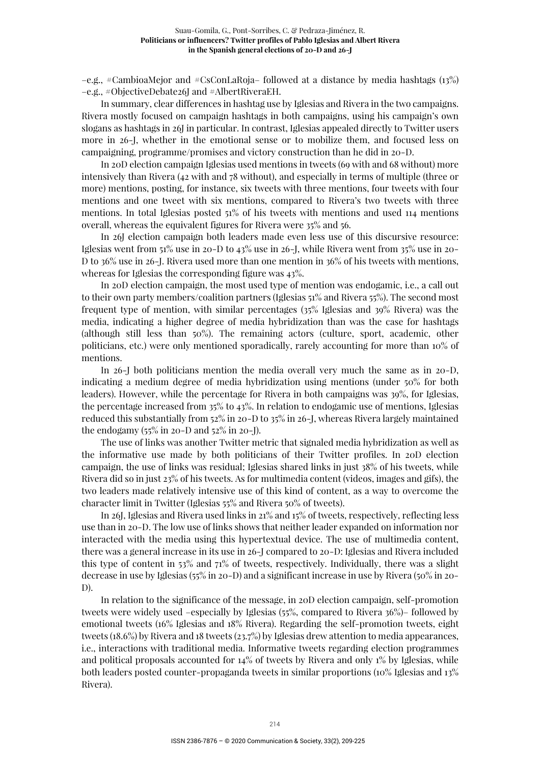$-e.g.,$  #CambioaMejor and #CsConLaRoja– followed at a distance by media hashtags (13%) –e.g., #ObjectiveDebate26J and #AlbertRiveraEH.

In summary, clear differences in hashtag use by Iglesias and Rivera in the two campaigns. Rivera mostly focused on campaign hashtags in both campaigns, using his campaign's own slogans as hashtags in 26J in particular. In contrast, Iglesias appealed directly to Twitter users more in 26-J, whether in the emotional sense or to mobilize them, and focused less on campaigning, programme/promises and victory construction than he did in 20-D.

In 20D election campaign Iglesias used mentions in tweets (69 with and 68 without) more intensively than Rivera (42 with and 78 without), and especially in terms of multiple (three or more) mentions, posting, for instance, six tweets with three mentions, four tweets with four mentions and one tweet with six mentions, compared to Rivera's two tweets with three mentions. In total Iglesias posted 51% of his tweets with mentions and used 114 mentions overall, whereas the equivalent figures for Rivera were 35% and 56.

In 26J election campaign both leaders made even less use of this discursive resource: Iglesias went from 51% use in 20-D to 43% use in 26-J, while Rivera went from 35% use in 20- D to 36% use in 26-J. Rivera used more than one mention in 36% of his tweets with mentions, whereas for Iglesias the corresponding figure was 43%.

In 20D election campaign, the most used type of mention was endogamic, i.e., a call out to their own party members/coalition partners (Iglesias 51% and Rivera 55%). The second most frequent type of mention, with similar percentages (35% Iglesias and 39% Rivera) was the media, indicating a higher degree of media hybridization than was the case for hashtags (although still less than 50%). The remaining actors (culture, sport, academic, other politicians, etc.) were only mentioned sporadically, rarely accounting for more than 10% of mentions.

In 26-J both politicians mention the media overall very much the same as in 20-D, indicating a medium degree of media hybridization using mentions (under 50% for both leaders). However, while the percentage for Rivera in both campaigns was 39%, for Iglesias, the percentage increased from 35% to 43%. In relation to endogamic use of mentions, Iglesias reduced this substantially from 52% in 20-D to 35% in 26-J, whereas Rivera largely maintained the endogamy  $(55\% \text{ in } 20 - D \text{ and } 52\% \text{ in } 20 - J)$ .

The use of links was another Twitter metric that signaled media hybridization as well as the informative use made by both politicians of their Twitter profiles. In 20D election campaign, the use of links was residual; Iglesias shared links in just 38% of his tweets, while Rivera did so in just 23% of his tweets. As for multimedia content (videos, images and gifs), the two leaders made relatively intensive use of this kind of content, as a way to overcome the character limit in Twitter (Iglesias 55% and Rivera 50% of tweets).

In 26J, Iglesias and Rivera used links in 21% and 15% of tweets, respectively, reflecting less use than in 20-D. The low use of links shows that neither leader expanded on information nor interacted with the media using this hypertextual device. The use of multimedia content, there was a general increase in its use in 26-J compared to 20-D: Iglesias and Rivera included this type of content in 53% and 71% of tweets, respectively. Individually, there was a slight decrease in use by Iglesias (55% in 20-D) and a significant increase in use by Rivera (50% in 20- D).

In relation to the significance of the message, in 20D election campaign, self-promotion tweets were widely used –especially by Iglesias (55%, compared to Rivera 36%)– followed by emotional tweets (16% Iglesias and 18% Rivera). Regarding the self-promotion tweets, eight tweets (18.6%) by Rivera and 18 tweets (23.7%) by Iglesias drew attention to media appearances, i.e., interactions with traditional media. Informative tweets regarding election programmes and political proposals accounted for 14% of tweets by Rivera and only 1% by Iglesias, while both leaders posted counter-propaganda tweets in similar proportions (10% Iglesias and 13% Rivera).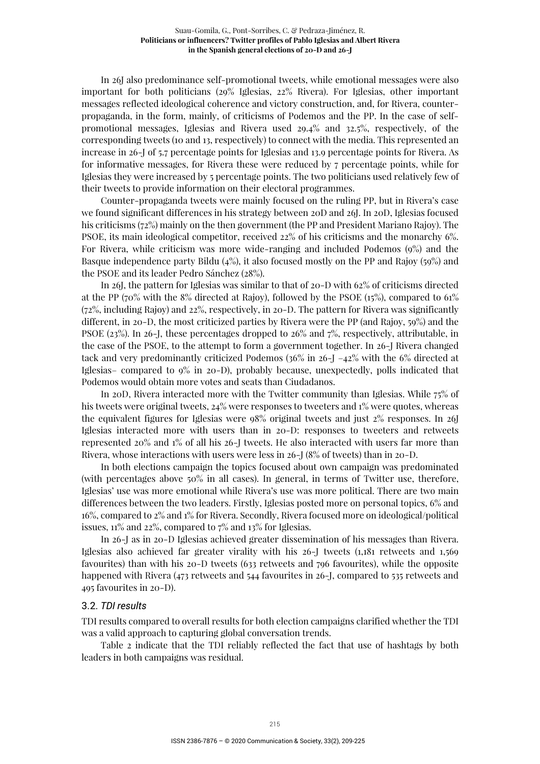In 26J also predominance self-promotional tweets, while emotional messages were also important for both politicians (29% Iglesias, 22% Rivera). For Iglesias, other important messages reflected ideological coherence and victory construction, and, for Rivera, counterpropaganda, in the form, mainly, of criticisms of Podemos and the PP. In the case of selfpromotional messages, Iglesias and Rivera used 29.4% and 32.5%, respectively, of the corresponding tweets (10 and 13, respectively) to connect with the media. This represented an increase in 26-J of 5.7 percentage points for Iglesias and 13.9 percentage points for Rivera. As for informative messages, for Rivera these were reduced by 7 percentage points, while for Iglesias they were increased by 5 percentage points. The two politicians used relatively few of their tweets to provide information on their electoral programmes.

Counter-propaganda tweets were mainly focused on the ruling PP, but in Rivera's case we found significant differences in his strategy between 20D and 26J. In 20D, Iglesias focused his criticisms (72%) mainly on the then government (the PP and President Mariano Rajoy). The PSOE, its main ideological competitor, received 22% of his criticisms and the monarchy 6%. For Rivera, while criticism was more wide-ranging and included Podemos (9%) and the Basque independence party Bildu (4%), it also focused mostly on the PP and Rajoy (59%) and the PSOE and its leader Pedro Sánchez (28%).

In 26J, the pattern for Iglesias was similar to that of 20-D with 62% of criticisms directed at the PP (70% with the 8% directed at Rajoy), followed by the PSOE (15%), compared to 61% (72%, including Rajoy) and 22%, respectively, in 20-D. The pattern for Rivera was significantly different, in 20-D, the most criticized parties by Rivera were the PP (and Rajoy, 59%) and the PSOE (23%). In 26-J, these percentages dropped to 26% and 7%, respectively, attributable, in the case of the PSOE, to the attempt to form a government together. In 26-J Rivera changed tack and very predominantly criticized Podemos ( $36\%$  in  $26$ -J  $-42\%$  with the 6% directed at Iglesias– compared to 9% in 20-D), probably because, unexpectedly, polls indicated that Podemos would obtain more votes and seats than Ciudadanos.

In 20D, Rivera interacted more with the Twitter community than Iglesias. While 75% of his tweets were original tweets,  $24\%$  were responses to tweeters and  $1\%$  were quotes, whereas the equivalent figures for Iglesias were 98% original tweets and just 2% responses. In 26J Iglesias interacted more with users than in 20-D: responses to tweeters and retweets represented 20% and 1% of all his 26-J tweets. He also interacted with users far more than Rivera, whose interactions with users were less in 26-J (8% of tweets) than in 20-D.

In both elections campaign the topics focused about own campaign was predominated (with percentages above 50% in all cases). In general, in terms of Twitter use, therefore, Iglesias' use was more emotional while Rivera's use was more political. There are two main differences between the two leaders. Firstly, Iglesias posted more on personal topics, 6% and 16%, compared to 2% and 1% for Rivera. Secondly, Rivera focused more on ideological/political issues, 11% and 22%, compared to 7% and 13% for Iglesias.

In 26-J as in 20-D Iglesias achieved greater dissemination of his messages than Rivera. Iglesias also achieved far greater virality with his  $26 - J$  tweets (1,181 retweets and 1,569 favourites) than with his 20-D tweets (633 retweets and 796 favourites), while the opposite happened with Rivera (473 retweets and 544 favourites in 26-J, compared to 535 retweets and 495 favourites in 20-D).

#### 3.2. *TDI results*

TDI results compared to overall results for both election campaigns clarified whether the TDI was a valid approach to capturing global conversation trends.

Table 2 indicate that the TDI reliably reflected the fact that use of hashtags by both leaders in both campaigns was residual.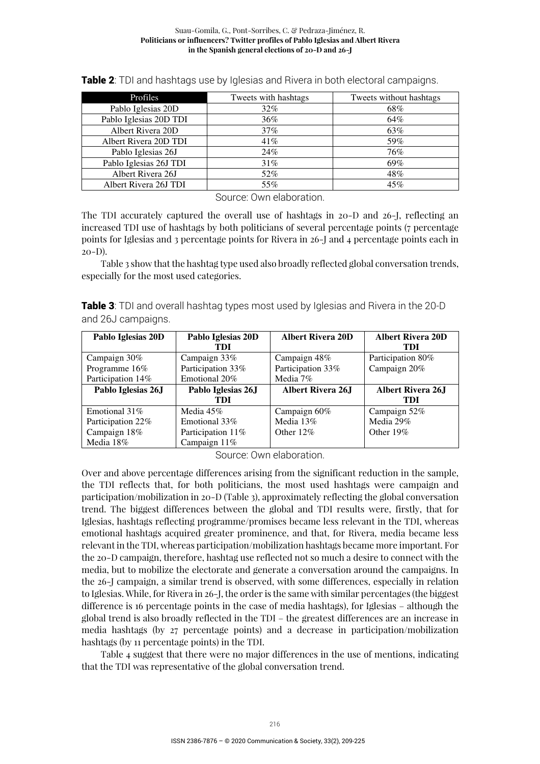#### Suau-Gomila, G., Pont-Sorribes, C. & Pedraza-Jiménez, R. **Politicians or influencers? Twitter profiles of Pablo Iglesias and Albert Rivera in the Spanish general elections of 20-D and 26-J**

| Profiles               | Tweets with hashtags | Tweets without hashtags |
|------------------------|----------------------|-------------------------|
| Pablo Iglesias 20D     | $32\%$               | 68%                     |
| Pablo Iglesias 20D TDI | 36%                  | 64%                     |
| Albert Rivera 20D      | $37\%$               | 63%                     |
| Albert Rivera 20D TDI  | 41%                  | 59%                     |
| Pablo Iglesias 26J     | 24%                  | 76%                     |
| Pablo Iglesias 26J TDI | 31%                  | 69%                     |
| Albert Rivera 26J      | 52%                  | 48%                     |
| Albert Rivera 26J TDI  | 55%                  | 45%                     |

Table 2: TDI and hashtags use by Iglesias and Rivera in both electoral campaigns.

Source: Own elaboration.

The TDI accurately captured the overall use of hashtags in 20-D and 26-J, reflecting an increased TDI use of hashtags by both politicians of several percentage points (7 percentage points for Iglesias and 3 percentage points for Rivera in 26-J and 4 percentage points each in 20-D).

Table 3 show that the hashtag type used also broadly reflected global conversation trends, especially for the most used categories.

**Table 3:** TDI and overall hashtag types most used by Iglesias and Rivera in the 20-D and 26J campaigns.

| Pablo Iglesias 20D | Pablo Iglesias 20D | <b>Albert Rivera 20D</b>  | <b>Albert Rivera 20D</b> |
|--------------------|--------------------|---------------------------|--------------------------|
|                    | TDI                |                           | TDI                      |
| Campaign 30%       | Campaign 33%       | Campaign 48%              | Participation 80%        |
| Programme 16%      | Participation 33%  | Participation 33%         | Campaign 20%             |
| Participation 14%  | Emotional 20%      | Media 7%                  |                          |
| Pablo Iglesias 26J | Pablo Iglesias 26J | <b>Albert Rivera 26.I</b> | <b>Albert Rivera 26J</b> |
|                    | TDI                |                           | TDI                      |
| Emotional $31\%$   | Media $45\%$       | Campaign 60%              | Campaign 52%             |
| Participation 22%  | Emotional 33%      | Media 13%                 | Media 29%                |
| Campaign 18%       | Participation 11\% | Other $12\%$              | Other $19\%$             |
| Media 18%          | Campaign $11\%$    |                           |                          |

Source: Own elaboration.

Over and above percentage differences arising from the significant reduction in the sample, the TDI reflects that, for both politicians, the most used hashtags were campaign and participation/mobilization in 20-D (Table 3), approximately reflecting the global conversation trend. The biggest differences between the global and TDI results were, firstly, that for Iglesias, hashtags reflecting programme/promises became less relevant in the TDI, whereas emotional hashtags acquired greater prominence, and that, for Rivera, media became less relevant in the TDI, whereas participation/mobilization hashtags became more important. For the 20-D campaign, therefore, hashtag use reflected not so much a desire to connect with the media, but to mobilize the electorate and generate a conversation around the campaigns. In the 26-J campaign, a similar trend is observed, with some differences, especially in relation to Iglesias. While, for Rivera in 26-J, the order is the same with similar percentages (the biggest difference is 16 percentage points in the case of media hashtags), for Iglesias – although the global trend is also broadly reflected in the TDI – the greatest differences are an increase in media hashtags (by 27 percentage points) and a decrease in participation/mobilization hashtags (by 11 percentage points) in the TDI.

Table 4 suggest that there were no major differences in the use of mentions, indicating that the TDI was representative of the global conversation trend.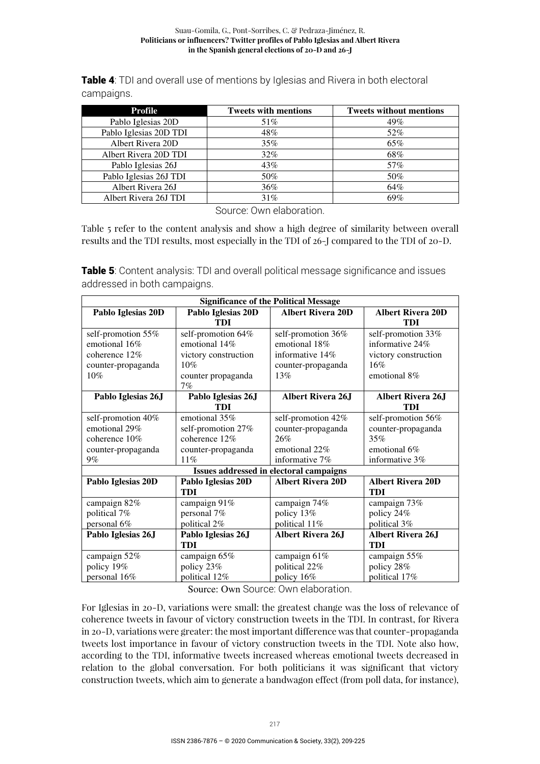Table 4: TDI and overall use of mentions by Iglesias and Rivera in both electoral campaigns.

| <b>Profile</b>         | <b>Tweets with mentions</b> | <b>Tweets without mentions</b> |
|------------------------|-----------------------------|--------------------------------|
| Pablo Iglesias 20D     | 51%                         | 49%                            |
| Pablo Iglesias 20D TDI | 48%                         | 52%                            |
| Albert Rivera 20D      | 35%                         | 65%                            |
| Albert Rivera 20D TDI  | $32\%$                      | 68%                            |
| Pablo Iglesias 26J     | 43%                         | 57%                            |
| Pablo Iglesias 26J TDI | 50%                         | 50%                            |
| Albert Rivera 26J      | 36%                         | 64%                            |
| Albert Rivera 26J TDI  | 31%                         | 69%                            |

Source: Own elaboration.

Table 5 refer to the content analysis and show a high degree of similarity between overall results and the TDI results, most especially in the TDI of 26-J compared to the TDI of 20-D.

**Table 5:** Content analysis: TDI and overall political message significance and issues addressed in both campaigns.

| <b>Significance of the Political Message</b> |                      |                                         |                          |
|----------------------------------------------|----------------------|-----------------------------------------|--------------------------|
| Pablo Iglesias 20D                           | Pablo Iglesias 20D   | <b>Albert Rivera 20D</b>                | <b>Albert Rivera 20D</b> |
|                                              | TDI                  |                                         | TDI                      |
| self-promotion 55%                           | self-promotion 64%   | self-promotion 36%                      | self-promotion 33%       |
| emotional 16%                                | emotional 14%        | emotional 18%                           | informative 24%          |
| coherence 12%                                | victory construction | informative 14%                         | victory construction     |
| counter-propaganda                           | 10%                  | counter-propaganda                      | $16\%$                   |
| 10%                                          | counter propaganda   | 13%                                     | emotional 8%             |
|                                              | 7%                   |                                         |                          |
| Pablo Iglesias 26J                           | Pablo Iglesias 26J   | <b>Albert Rivera 26J</b>                | <b>Albert Rivera 26J</b> |
|                                              | TDI                  |                                         | TDI                      |
| self-promotion 40%                           | emotional 35%        | self-promotion 42%                      | self-promotion 56%       |
| emotional 29%                                | self-promotion 27%   | counter-propaganda                      | counter-propaganda       |
| coherence 10%                                | coherence 12%        | 26%                                     | 35%                      |
| counter-propaganda                           | counter-propaganda   | emotional 22%                           | emotional 6%             |
| $9\%$                                        | 11%                  | informative 7%                          | informative 3%           |
|                                              |                      | Issues addressed in electoral campaigns |                          |
| Pablo Iglesias 20D                           | Pablo Iglesias 20D   | <b>Albert Rivera 20D</b>                | <b>Albert Rivera 20D</b> |
|                                              | TDI                  |                                         | TDI                      |
| campaign 82%                                 | campaign 91%         | campaign 74%                            | campaign 73%             |
| political 7%                                 | personal 7%          | policy 13%                              | policy 24%               |
| personal 6%                                  | political 2%         | political 11%                           | political 3%             |
| Pablo Iglesias 26J                           | Pablo Iglesias 26J   | <b>Albert Rivera 26J</b>                | <b>Albert Rivera 26J</b> |
|                                              | TDI                  |                                         | TDI                      |
| campaign 52%                                 | campaign 65%         | campaign 61%                            | campaign 55%             |
| policy 19%                                   | policy 23%           | political 22%                           | policy 28%               |
| personal 16%                                 | political 12%        | policy 16%                              | political 17%            |

Source: Own Source: Own elaboration.

For Iglesias in 20-D, variations were small: the greatest change was the loss of relevance of coherence tweets in favour of victory construction tweets in the TDI. In contrast, for Rivera in 20-D, variations were greater: the most important difference was that counter-propaganda tweets lost importance in favour of victory construction tweets in the TDI. Note also how, according to the TDI, informative tweets increased whereas emotional tweets decreased in relation to the global conversation. For both politicians it was significant that victory construction tweets, which aim to generate a bandwagon effect (from poll data, for instance),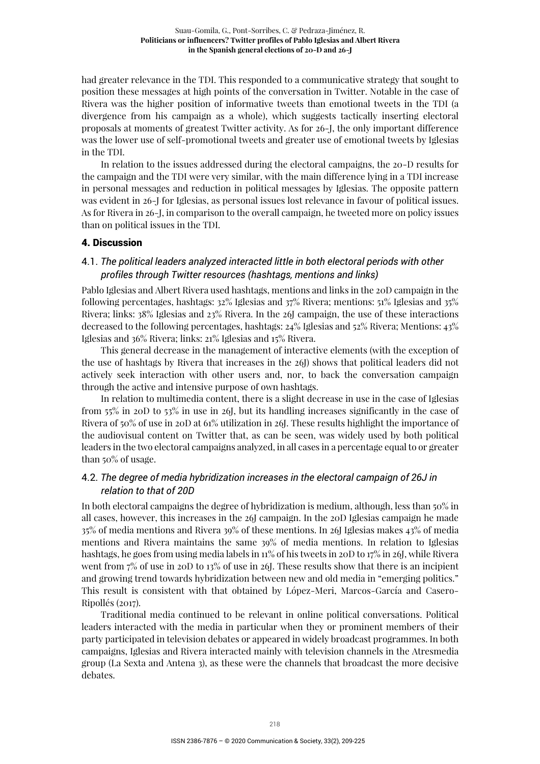had greater relevance in the TDI. This responded to a communicative strategy that sought to position these messages at high points of the conversation in Twitter. Notable in the case of Rivera was the higher position of informative tweets than emotional tweets in the TDI (a divergence from his campaign as a whole), which suggests tactically inserting electoral proposals at moments of greatest Twitter activity. As for 26-J, the only important difference was the lower use of self-promotional tweets and greater use of emotional tweets by Iglesias in the TDI.

In relation to the issues addressed during the electoral campaigns, the 20-D results for the campaign and the TDI were very similar, with the main difference lying in a TDI increase in personal messages and reduction in political messages by Iglesias. The opposite pattern was evident in 26-J for Iglesias, as personal issues lost relevance in favour of political issues. As for Rivera in 26-J, in comparison to the overall campaign, he tweeted more on policy issues than on political issues in the TDI.

#### 4. Discussion

## 4.1. *The political leaders analyzed interacted little in both electoral periods with other profiles through Twitter resources (hashtags, mentions and links)*

Pablo Iglesias and Albert Rivera used hashtags, mentions and links in the 20D campaign in the following percentages, hashtags: 32% Iglesias and 37% Rivera; mentions: 51% Iglesias and 35% Rivera; links: 38% Iglesias and 23% Rivera. In the 26J campaign, the use of these interactions decreased to the following percentages, hashtags: 24% Iglesias and 52% Rivera; Mentions: 43% Iglesias and 36% Rivera; links: 21% Iglesias and 15% Rivera.

This general decrease in the management of interactive elements (with the exception of the use of hashtags by Rivera that increases in the 26J) shows that political leaders did not actively seek interaction with other users and, nor, to back the conversation campaign through the active and intensive purpose of own hashtags.

In relation to multimedia content, there is a slight decrease in use in the case of Iglesias from 55% in 20D to 53% in use in 26J, but its handling increases significantly in the case of Rivera of 50% of use in 20D at 61% utilization in 26J. These results highlight the importance of the audiovisual content on Twitter that, as can be seen, was widely used by both political leaders in the two electoral campaigns analyzed, in all cases in a percentage equal to or greater than 50% of usage.

# 4.2. *The degree of media hybridization increases in the electoral campaign of 26J in relation to that of 20D*

In both electoral campaigns the degree of hybridization is medium, although, less than 50% in all cases, however, this increases in the 26J campaign. In the 20D Iglesias campaign he made 35% of media mentions and Rivera 39% of these mentions. In 26J Iglesias makes 43% of media mentions and Rivera maintains the same 39% of media mentions. In relation to Iglesias hashtags, he goes from using media labels in 11% of his tweets in 20D to 17% in 26J, while Rivera went from 7% of use in 20D to 13% of use in 26J. These results show that there is an incipient and growing trend towards hybridization between new and old media in "emerging politics." This result is consistent with that obtained by López-Meri, Marcos-García and Casero-Ripollés (2017).

Traditional media continued to be relevant in online political conversations. Political leaders interacted with the media in particular when they or prominent members of their party participated in television debates or appeared in widely broadcast programmes. In both campaigns, Iglesias and Rivera interacted mainly with television channels in the Atresmedia group (La Sexta and Antena 3), as these were the channels that broadcast the more decisive debates.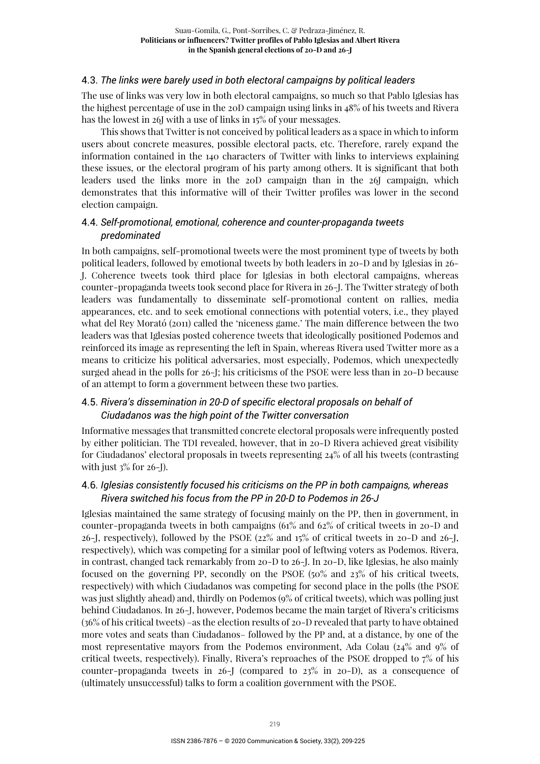### 4.3. *The links were barely used in both electoral campaigns by political leaders*

The use of links was very low in both electoral campaigns, so much so that Pablo Iglesias has the highest percentage of use in the 20D campaign using links in 48% of his tweets and Rivera has the lowest in 26J with a use of links in 15% of your messages.

This shows that Twitter is not conceived by political leaders as a space in which to inform users about concrete measures, possible electoral pacts, etc. Therefore, rarely expand the information contained in the 140 characters of Twitter with links to interviews explaining these issues, or the electoral program of his party among others. It is significant that both leaders used the links more in the 20D campaign than in the 26J campaign, which demonstrates that this informative will of their Twitter profiles was lower in the second election campaign.

# 4.4. *Self-promotional, emotional, coherence and counter-propaganda tweets predominated*

In both campaigns, self-promotional tweets were the most prominent type of tweets by both political leaders, followed by emotional tweets by both leaders in 20-D and by Iglesias in 26- J. Coherence tweets took third place for Iglesias in both electoral campaigns, whereas counter-propaganda tweets took second place for Rivera in 26-J. The Twitter strategy of both leaders was fundamentally to disseminate self-promotional content on rallies, media appearances, etc. and to seek emotional connections with potential voters, i.e., they played what del Rey Morató (2011) called the 'niceness game.' The main difference between the two leaders was that Iglesias posted coherence tweets that ideologically positioned Podemos and reinforced its image as representing the left in Spain, whereas Rivera used Twitter more as a means to criticize his political adversaries, most especially, Podemos, which unexpectedly surged ahead in the polls for 26-J; his criticisms of the PSOE were less than in 20-D because of an attempt to form a government between these two parties.

# 4.5. *Rivera's dissemination in 20-D of specific electoral proposals on behalf of Ciudadanos was the high point of the Twitter conversation*

Informative messages that transmitted concrete electoral proposals were infrequently posted by either politician. The TDI revealed, however, that in 20-D Rivera achieved great visibility for Ciudadanos' electoral proposals in tweets representing 24% of all his tweets (contrasting with just  $3\%$  for 26-J).

# 4.6. *Iglesias consistently focused his criticisms on the PP in both campaigns, whereas Rivera switched his focus from the PP in 20-D to Podemos in 26-J*

Iglesias maintained the same strategy of focusing mainly on the PP, then in government, in counter-propaganda tweets in both campaigns (61% and 62% of critical tweets in 20-D and 26-J, respectively), followed by the PSOE (22% and 15% of critical tweets in 20-D and 26-J, respectively), which was competing for a similar pool of leftwing voters as Podemos. Rivera, in contrast, changed tack remarkably from 20-D to 26-J. In 20-D, like Iglesias, he also mainly focused on the governing PP, secondly on the PSOE (50% and 23% of his critical tweets, respectively) with which Ciudadanos was competing for second place in the polls (the PSOE was just slightly ahead) and, thirdly on Podemos (9% of critical tweets), which was polling just behind Ciudadanos. In 26-J, however, Podemos became the main target of Rivera's criticisms (36% of his critical tweets) –as the election results of 20-D revealed that party to have obtained more votes and seats than Ciudadanos– followed by the PP and, at a distance, by one of the most representative mayors from the Podemos environment, Ada Colau (24% and 9% of critical tweets, respectively). Finally, Rivera's reproaches of the PSOE dropped to 7% of his counter-propaganda tweets in  $26$ -J (compared to  $23\%$  in  $20$ -D), as a consequence of (ultimately unsuccessful) talks to form a coalition government with the PSOE.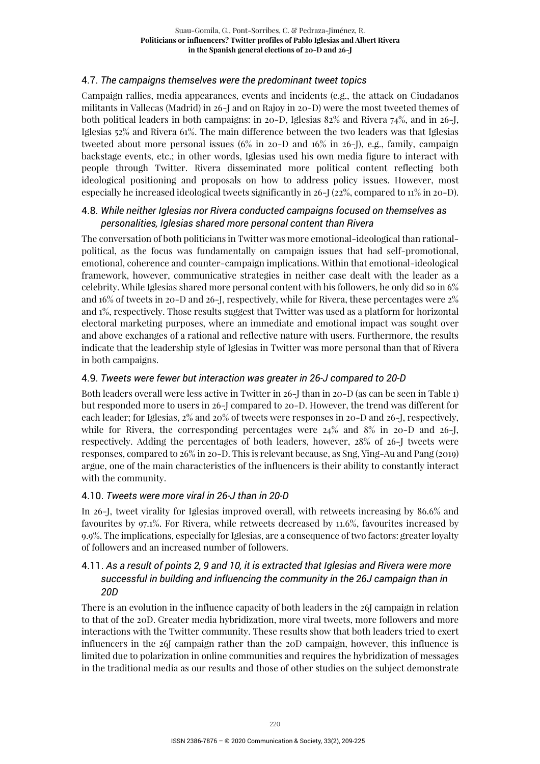# 4.7. *The campaigns themselves were the predominant tweet topics*

Campaign rallies, media appearances, events and incidents (e.g., the attack on Ciudadanos militants in Vallecas (Madrid) in 26-J and on Rajoy in 20-D) were the most tweeted themes of both political leaders in both campaigns: in 20-D, Iglesias 82% and Rivera 74%, and in 26-J, Iglesias 52% and Rivera 61%. The main difference between the two leaders was that Iglesias tweeted about more personal issues (6% in 20-D and 16% in 26-J), e.g., family, campaign backstage events, etc.; in other words, Iglesias used his own media figure to interact with people through Twitter. Rivera disseminated more political content reflecting both ideological positioning and proposals on how to address policy issues. However, most especially he increased ideological tweets significantly in 26-J (22%, compared to 11% in 20-D).

# 4.8. *While neither Iglesias nor Rivera conducted campaigns focused on themselves as personalities, Iglesias shared more personal content than Rivera*

The conversation of both politicians in Twitter was more emotional-ideological than rationalpolitical, as the focus was fundamentally on campaign issues that had self-promotional, emotional, coherence and counter-campaign implications. Within that emotional-ideological framework, however, communicative strategies in neither case dealt with the leader as a celebrity. While Iglesias shared more personal content with his followers, he only did so in 6% and 16% of tweets in 20-D and 26-J, respectively, while for Rivera, these percentages were 2% and 1%, respectively. Those results suggest that Twitter was used as a platform for horizontal electoral marketing purposes, where an immediate and emotional impact was sought over and above exchanges of a rational and reflective nature with users. Furthermore, the results indicate that the leadership style of Iglesias in Twitter was more personal than that of Rivera in both campaigns.

# 4.9. *Tweets were fewer but interaction was greater in 26-J compared to 20-D*

Both leaders overall were less active in Twitter in 26-J than in 20-D (as can be seen in Table 1) but responded more to users in 26-J compared to 20-D. However, the trend was different for each leader; for Iglesias, 2% and 20% of tweets were responses in 20-D and 26-J, respectively, while for Rivera, the corresponding percentages were  $24\%$  and  $8\%$  in 20-D and 26-J, respectively. Adding the percentages of both leaders, however, 28% of 26-J tweets were responses, compared to 26% in 20-D. This is relevant because, as Sng, Ying-Au and Pang (2019) argue, one of the main characteristics of the influencers is their ability to constantly interact with the community.

# 4.10. *Tweets were more viral in 26-J than in 20-D*

In 26-J, tweet virality for Iglesias improved overall, with retweets increasing by 86.6% and favourites by 97.1%. For Rivera, while retweets decreased by 11.6%, favourites increased by 9.9%. The implications, especially for Iglesias, are a consequence of two factors: greater loyalty of followers and an increased number of followers.

# 4.11. *As a result of points 2, 9 and 10, it is extracted that Iglesias and Rivera were more successful in building and influencing the community in the 26J campaign than in 20D*

There is an evolution in the influence capacity of both leaders in the 26J campaign in relation to that of the 20D. Greater media hybridization, more viral tweets, more followers and more interactions with the Twitter community. These results show that both leaders tried to exert influencers in the 26J campaign rather than the 20D campaign, however, this influence is limited due to polarization in online communities and requires the hybridization of messages in the traditional media as our results and those of other studies on the subject demonstrate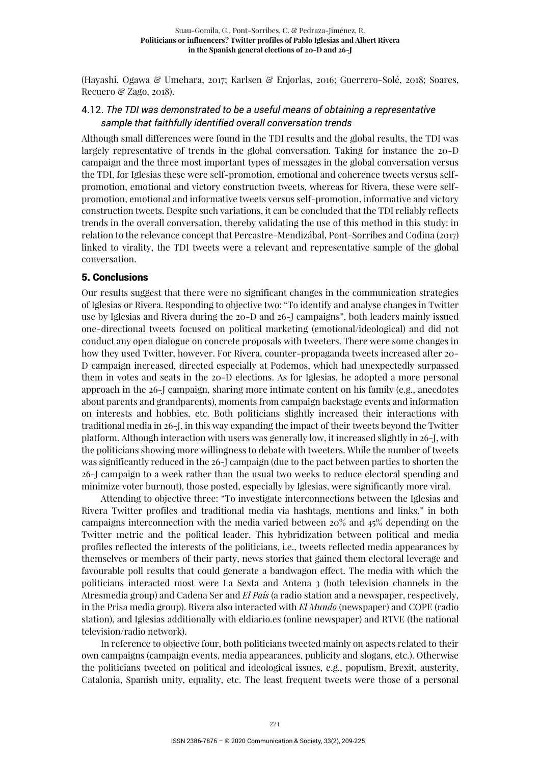(Hayashi, Ogawa & Umehara, 2017; Karlsen & Enjorlas, 2016; Guerrero-Solé, 2018; Soares, Recuero & Zago, 2018).

# 4.12. *The TDI was demonstrated to be a useful means of obtaining a representative sample that faithfully identified overall conversation trends*

Although small differences were found in the TDI results and the global results, the TDI was largely representative of trends in the global conversation. Taking for instance the 20-D campaign and the three most important types of messages in the global conversation versus the TDI, for Iglesias these were self-promotion, emotional and coherence tweets versus selfpromotion, emotional and victory construction tweets, whereas for Rivera, these were selfpromotion, emotional and informative tweets versus self-promotion, informative and victory construction tweets. Despite such variations, it can be concluded that the TDI reliably reflects trends in the overall conversation, thereby validating the use of this method in this study: in relation to the relevance concept that Percastre-Mendizábal, Pont-Sorribes and Codina (2017) linked to virality, the TDI tweets were a relevant and representative sample of the global conversation.

### 5. Conclusions

Our results suggest that there were no significant changes in the communication strategies of Iglesias or Rivera. Responding to objective two: "To identify and analyse changes in Twitter use by Iglesias and Rivera during the 20-D and 26-J campaigns", both leaders mainly issued one-directional tweets focused on political marketing (emotional/ideological) and did not conduct any open dialogue on concrete proposals with tweeters. There were some changes in how they used Twitter, however. For Rivera, counter-propaganda tweets increased after 20- D campaign increased, directed especially at Podemos, which had unexpectedly surpassed them in votes and seats in the 20-D elections. As for Iglesias, he adopted a more personal approach in the 26-J campaign, sharing more intimate content on his family (e.g., anecdotes about parents and grandparents), moments from campaign backstage events and information on interests and hobbies, etc. Both politicians slightly increased their interactions with traditional media in 26-J, in this way expanding the impact of their tweets beyond the Twitter platform. Although interaction with users was generally low, it increased slightly in 26-J, with the politicians showing more willingness to debate with tweeters. While the number of tweets was significantly reduced in the 26-J campaign (due to the pact between parties to shorten the 26-J campaign to a week rather than the usual two weeks to reduce electoral spending and minimize voter burnout), those posted, especially by Iglesias, were significantly more viral.

Attending to objective three: "To investigate interconnections between the Iglesias and Rivera Twitter profiles and traditional media via hashtags, mentions and links," in both campaigns interconnection with the media varied between 20% and 45% depending on the Twitter metric and the political leader. This hybridization between political and media profiles reflected the interests of the politicians, i.e., tweets reflected media appearances by themselves or members of their party, news stories that gained them electoral leverage and favourable poll results that could generate a bandwagon effect. The media with which the politicians interacted most were La Sexta and Antena 3 (both television channels in the Atresmedia group) and Cadena Ser and *El País* (a radio station and a newspaper, respectively, in the Prisa media group). Rivera also interacted with *El Mundo* (newspaper) and COPE (radio station), and Iglesias additionally with eldiario.es (online newspaper) and RTVE (the national television/radio network).

In reference to objective four, both politicians tweeted mainly on aspects related to their own campaigns (campaign events, media appearances, publicity and slogans, etc.). Otherwise the politicians tweeted on political and ideological issues, e.g., populism, Brexit, austerity, Catalonia, Spanish unity, equality, etc. The least frequent tweets were those of a personal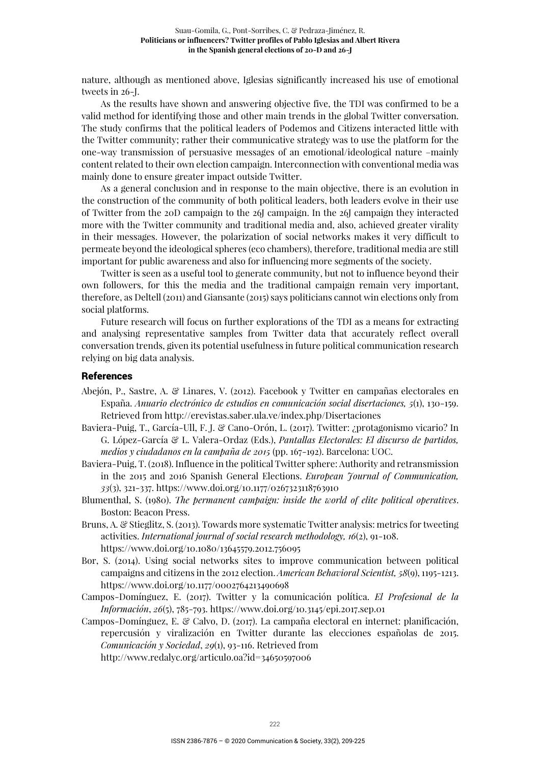nature, although as mentioned above, Iglesias significantly increased his use of emotional tweets in 26-J.

As the results have shown and answering objective five, the TDI was confirmed to be a valid method for identifying those and other main trends in the global Twitter conversation. The study confirms that the political leaders of Podemos and Citizens interacted little with the Twitter community; rather their communicative strategy was to use the platform for the one-way transmission of persuasive messages of an emotional/ideological nature –mainly content related to their own election campaign. Interconnection with conventional media was mainly done to ensure greater impact outside Twitter.

As a general conclusion and in response to the main objective, there is an evolution in the construction of the community of both political leaders, both leaders evolve in their use of Twitter from the 20D campaign to the 26J campaign. In the 26J campaign they interacted more with the Twitter community and traditional media and, also, achieved greater virality in their messages. However, the polarization of social networks makes it very difficult to permeate beyond the ideological spheres (eco chambers), therefore, traditional media are still important for public awareness and also for influencing more segments of the society.

Twitter is seen as a useful tool to generate community, but not to influence beyond their own followers, for this the media and the traditional campaign remain very important, therefore, as Deltell (2011) and Giansante (2015) says politicians cannot win elections only from social platforms.

Future research will focus on further explorations of the TDI as a means for extracting and analysing representative samples from Twitter data that accurately reflect overall conversation trends, given its potential usefulness in future political communication research relying on big data analysis.

#### **References**

- Abejón, P., Sastre, A. & Linares, V. (2012). Facebook y Twitter en campañas electorales en España. *Anuario electrónico de estudios en comunicación social disertaciones, 5*(1), 130-159. Retrieved from http://erevistas.saber.ula.ve/index.php/Disertaciones
- Baviera-Puig, T., García-Ull, F. J. & Cano-Orón, L. (2017). Twitter: ¿protagonismo vicario? In G. López-García & L. Valera-Ordaz (Eds.), *Pantallas Electorales: El discurso de partidos, medios y ciudadanos en la campaña de 2015* (pp. 167-192). Barcelona: UOC.
- Baviera-Puig, T. (2018). Influence in the political Twitter sphere: Authority and retransmission in the 2015 and 2016 Spanish General Elections. *European Journal of Communication, 33*(3), 321-337. https://www.doi.org/10.1177/0267323118763910
- Blumenthal, S. (1980). *The permanent campaign: inside the world of elite political operatives*. Boston: Beacon Press.
- Bruns, A. & Stieglitz, S. (2013). Towards more systematic Twitter analysis: metrics for tweeting activities. *International journal of social research methodology, 16*(2), 91-108. https://www.doi.org/10.1080/13645579.2012.756095
- Bor, S. (2014). Using social networks sites to improve communication between political campaigns and citizens in the 2012 election. *American Behavioral Scientist, 58*(9), 1195-1213. https://www.doi.org/10.1177/0002764213490698
- Campos-Domínguez, E. (2017). Twitter y la comunicación política. *El Profesional de la Información*, *26*(5), 785-793. https://www.doi.org/10.3145/epi.2017.sep.01
- Campos-Domínguez, E. & Calvo, D. (2017). La campaña electoral en internet: planificación, repercusión y viralización en Twitter durante las elecciones españolas de 2015. *Comunicación y Sociedad*, *29*(1), 93-116. Retrieved from

http://www.redalyc.org/articulo.oa?id=34650597006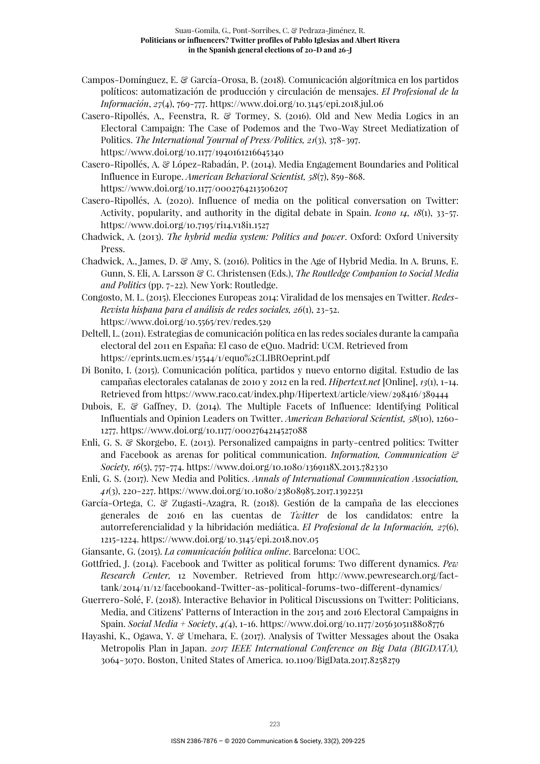- Campos-Domínguez, E. & García-Orosa, B. (2018). Comunicación algorítmica en los partidos políticos: automatización de producción y circulación de mensajes. *El Profesional de la Información*, *27*(4), 769-777. https://www.doi.org/10.3145/epi.2018.jul.06
- Casero-Ripollés, A., Feenstra, R. & Tormey, S. (2016). Old and New Media Logics in an Electoral Campaign: The Case of Podemos and the Two-Way Street Mediatization of Politics. *The International Journal of Press/Politics, 21*(3), 378-397. https://www.doi.org/10.1177/1940161216645340

Casero-Ripollés, A. & López-Rabadán, P. (2014). Media Engagement Boundaries and Political Influence in Europe. *American Behavioral Scientist, 58*(7), 859-868. https://www.doi.org/10.1177/0002764213506207

Casero-Ripollés, A. (2020). Influence of media on the political conversation on Twitter: Activity, popularity, and authority in the digital debate in Spain. *Icono 14, 18*(1), 33-57. https://www.doi.org/10.7195/ri14.v18i1.1527

- Chadwick, A. (2013). *The hybrid media system: Politics and power*. Oxford: Oxford University Press.
- Chadwick, A., James, D. & Amy, S. (2016). Politics in the Age of Hybrid Media. In A. Bruns, E. Gunn, S. Eli, A. Larsson & C. Christensen (Eds.), *The Routledge Companion to Social Media and Politics* (pp. 7-22). New York: Routledge.
- Congosto, M. L. (2015). Elecciones Europeas 2014: Viralidad de los mensajes en Twitter. *Redes-Revista hispana para el análisis de redes sociales, 26*(1), 23-52. https://www.doi.org/10.5565/rev/redes.529
- Deltell, L. (2011). Estrategias de comunicación política en las redes sociales durante la campaña electoral del 2011 en España: El caso de eQuo. Madrid: UCM. Retrieved from https://eprints.ucm.es/15544/1/equo%2CLIBROeprint.pdf
- Di Bonito, I. (2015). Comunicación política, partidos y nuevo entorno digital. Estudio de las campañas electorales catalanas de 2010 y 2012 en la red. *Hipertext.net* [Online], *13*(1), 1-14. Retrieved from https://www.raco.cat/index.php/Hipertext/article/view/298416/389444
- Dubois, E. & Gaffney, D. (2014). The Multiple Facets of Influence: Identifying Political Influentials and Opinion Leaders on Twitter. *American Behavioral Scientist, 58*(10), 1260- 1277. https://www.doi.org/10.1177/0002764214527088
- Enli, G. S. & Skorgebo, E. (2013). Personalized campaigns in party-centred politics: Twitter and Facebook as arenas for political communication. *Information, Communication & Society, 16*(5), 757-774. https://www.doi.org/10.1080/1369118X.2013.782330
- Enli, G. S. (2017). New Media and Politics. *Annals of International Communication Association, 41*(3), 220-227. https://www.doi.org/10.1080/23808985.2017.1392251
- García-Ortega, C. & Zugasti-Azagra, R. (2018). Gestión de la campaña de las elecciones generales de 2016 en las cuentas de *Twitter* de los candidatos: entre la autorreferencialidad y la hibridación mediática. *El Profesional de la Información, 27*(6), 1215-1224. https://www.doi.org/10.3145/epi.2018.nov.05
- Giansante, G. (2015). *La comunicación política online*. Barcelona: UOC.
- Gottfried, J. (2014). Facebook and Twitter as political forums: Two different dynamics. *Pew Research Center,* 12 November. Retrieved from http://www.pewresearch.org/facttank/2014/11/12/facebookand-Twitter-as-political-forums-two-different-dynamics/
- Guerrero-Solé, F. (2018). Interactive Behavior in Political Discussions on Twitter: Politicians, Media, and Citizens' Patterns of Interaction in the 2015 and 2016 Electoral Campaigns in Spain. *Social Media + Society*, *4(*4), 1-16. https://www.doi.org/10.1177/2056305118808776
- Hayashi, K., Ogawa, Y. & Umehara, E. (2017). Analysis of Twitter Messages about the Osaka Metropolis Plan in Japan. *2017 IEEE International Conference on Big Data (BIGDATA),*  3064-3070. Boston, United States of America. 10.1109/BigData.2017.8258279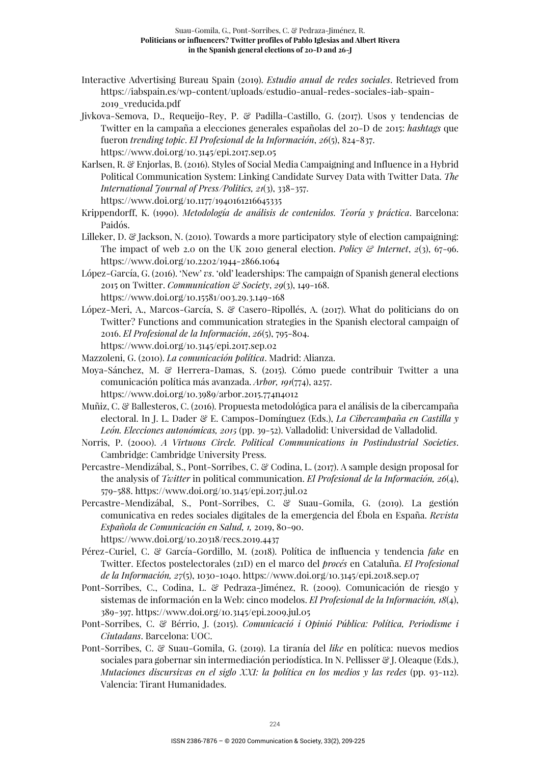- Interactive Advertising Bureau Spain (2019). *Estudio anual de redes sociales*. Retrieved from https://iabspain.es/wp-content/uploads/estudio-anual-redes-sociales-iab-spain-2019\_vreducida.pdf
- Jivkova-Semova, D., Requeijo-Rey, P. & Padilla-Castillo, G. (2017). Usos y tendencias de Twitter en la campaña a elecciones generales españolas del 20-D de 2015: *hashtags* que fueron *trending topic*. *El Profesional de la Información*, *26*(5), 824-837. https://www.doi.org/10.3145/epi.2017.sep.05
- Karlsen, R. & Enjorlas, B. (2016). Styles of Social Media Campaigning and Influence in a Hybrid Political Communication System: Linking Candidate Survey Data with Twitter Data. *The International Journal of Press/Politics, 21*(3), 338-357. https://www.doi.org/10.1177/1940161216645335
- Krippendorff, K. (1990). *Metodología de análisis de contenidos. Teoría y práctica*. Barcelona: Paidós.
- Lilleker, D. & Jackson, N. (2010). Towards a more participatory style of election campaigning: The impact of web 2.0 on the UK 2010 general election. *Policy & Internet*,  $2(3)$ ,  $67-96$ . https://www.doi.org/10.2202/1944-2866.1064
- López-García, G. (2016). 'New' *vs*. 'old' leaderships: The campaign of Spanish general elections 2015 on Twitter. *Communication & Society*, *29*(3), 149-168. https://www.doi.org/10.15581/003.29.3.149-168
- López-Meri, A., Marcos-García, S. & Casero-Ripollés, A. (2017). What do politicians do on Twitter? Functions and communication strategies in the Spanish electoral campaign of 2016. *El Profesional de la Información*, *26*(5), 795-804. https://www.doi.org/10.3145/epi.2017.sep.02
- Mazzoleni, G. (2010). *La comunicación política*. Madrid: Alianza.
- Moya-Sánchez, M. & Herrera-Damas, S. (2015). Cómo puede contribuir Twitter a una comunicación política más avanzada. *Arbor, 191*(774), a257.
	- https://www.doi.org/10.3989/arbor.2015.774n4012
- Muñiz, C. & Ballesteros, C. (2016). Propuesta metodológica para el análisis de la cibercampaña electoral. In J. L. Dader & E. Campos-Domínguez (Eds.), *La Cibercampaña en Castilla y León. Elecciones autonómicas, 2015* (pp. 39-52). Valladolid: Universidad de Valladolid.
- Norris, P. (2000). *A Virtuous Circle. Political Communications in Postindustrial Societies*. Cambridge: Cambridge University Press.
- Percastre-Mendizábal, S., Pont-Sorribes, C. & Codina, L. (2017). A sample design proposal for the analysis of *Twitter* in political communication. *El Profesional de la Información, 26*(4), 579-588. https://www.doi.org/10.3145/epi.2017.jul.02
- Percastre-Mendizábal, S., Pont-Sorribes, C. & Suau-Gomila, G. (2019). La gestión comunicativa en redes sociales digitales de la emergencia del Ébola en España. *Revista Española de Comunicación en Salud, 1,* 2019, 80-90. https://www.doi.org/10.20318/recs.2019.4437
- Pérez-Curiel, C. & García-Gordillo, M. (2018). Política de influencia y tendencia *fake* en Twitter. Efectos postelectorales (21D) en el marco del *procés* en Cataluña. *El Profesional de la Información, 27*(5), 1030-1040. https://www.doi.org/10.3145/epi.2018.sep.07
- Pont-Sorribes, C., Codina, L. & Pedraza-Jiménez, R. (2009). Comunicación de riesgo y sistemas de información en la Web: cinco modelos. *El Profesional de la Información, 18*(4), 389-397. https://www.doi.org/10.3145/epi.2009.jul.05
- Pont-Sorribes, C. & Bérrio, J. (2015). *Comunicació i Opinió Pública: Política, Periodisme i Ciutadans*. Barcelona: UOC.
- Pont-Sorribes, C. & Suau-Gomila, G. (2019). La tiranía del *like* en política: nuevos medios sociales para gobernar sin intermediación periodística. In N. Pellisser & J. Oleaque (Eds.), *Mutaciones discursivas en el siglo XXI: la política en los medios y las redes* (pp. 93-112). Valencia: Tirant Humanidades.